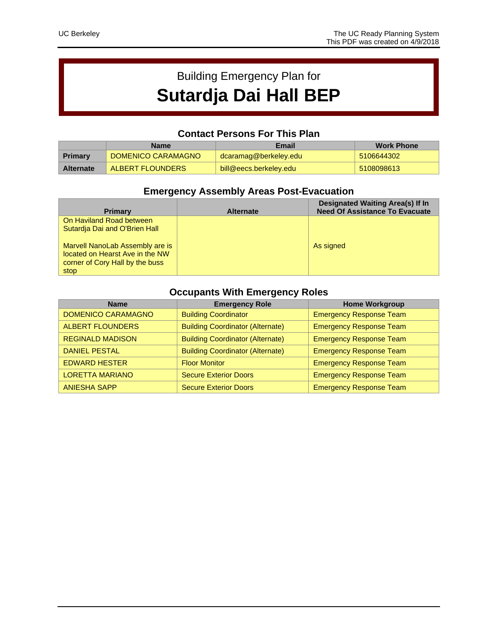# Building Emergency Plan for **Sutardja Dai Hall BEP**

### **Contact Persons For This Plan**

|                  | <b>Name</b>        | Email                  | <b>Work Phone</b> |
|------------------|--------------------|------------------------|-------------------|
| <b>Primary</b>   | DOMENICO CARAMAGNO | dcaramag@berkeley.edu  | 5106644302        |
| <b>Alternate</b> | ALBERT FLOUNDERS   | bill@eecs.berkeley.edu | 5108098613        |

## **Emergency Assembly Areas Post-Evacuation**

| <b>Primary</b>                  | <b>Alternate</b> | <b>Designated Waiting Area(s) If In</b><br><b>Need Of Assistance To Evacuate</b> |
|---------------------------------|------------------|----------------------------------------------------------------------------------|
| On Haviland Road between        |                  |                                                                                  |
| Sutardia Dai and O'Brien Hall   |                  |                                                                                  |
| Marvell NanoLab Assembly are is |                  | As signed                                                                        |
| located on Hearst Ave in the NW |                  |                                                                                  |
| corner of Cory Hall by the buss |                  |                                                                                  |
| stop                            |                  |                                                                                  |

# **Occupants With Emergency Roles**

| <b>Name</b>               | <b>Emergency Role</b>                   | <b>Home Workgroup</b>          |
|---------------------------|-----------------------------------------|--------------------------------|
| <b>DOMENICO CARAMAGNO</b> | <b>Building Coordinator</b>             | <b>Emergency Response Team</b> |
| <b>ALBERT FLOUNDERS</b>   | <b>Building Coordinator (Alternate)</b> | <b>Emergency Response Team</b> |
| <b>REGINALD MADISON</b>   | <b>Building Coordinator (Alternate)</b> | <b>Emergency Response Team</b> |
| <b>DANIEL PESTAL</b>      | <b>Building Coordinator (Alternate)</b> | <b>Emergency Response Team</b> |
| <b>EDWARD HESTER</b>      | <b>Floor Monitor</b>                    | <b>Emergency Response Team</b> |
| <b>LORETTA MARIANO</b>    | <b>Secure Exterior Doors</b>            | <b>Emergency Response Team</b> |
| <b>ANIESHA SAPP</b>       | <b>Secure Exterior Doors</b>            | <b>Emergency Response Team</b> |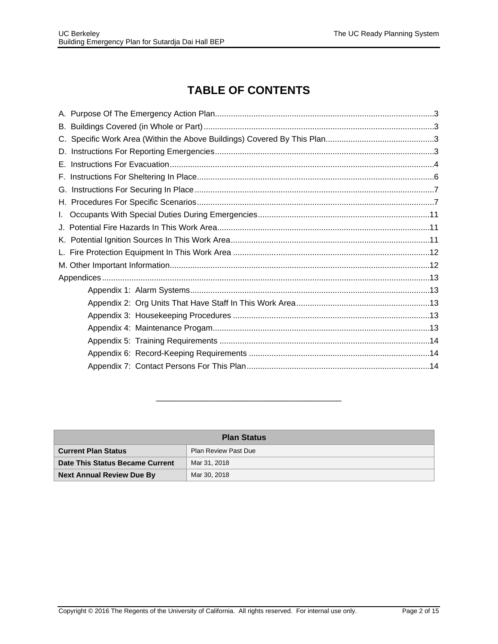# **TABLE OF CONTENTS**

| Е. |  |
|----|--|
|    |  |
|    |  |
|    |  |
|    |  |
|    |  |
|    |  |
|    |  |
|    |  |
|    |  |
|    |  |
|    |  |
|    |  |
|    |  |
|    |  |
|    |  |
|    |  |

| <b>Plan Status</b>               |                             |  |  |
|----------------------------------|-----------------------------|--|--|
| <b>Current Plan Status</b>       | <b>Plan Review Past Due</b> |  |  |
| Date This Status Became Current  | Mar 31, 2018                |  |  |
| <b>Next Annual Review Due By</b> | Mar 30, 2018                |  |  |

\_\_\_\_\_\_\_\_\_\_\_\_\_\_\_\_\_\_\_\_\_\_\_\_\_\_\_\_\_\_\_\_\_\_\_\_\_\_\_\_\_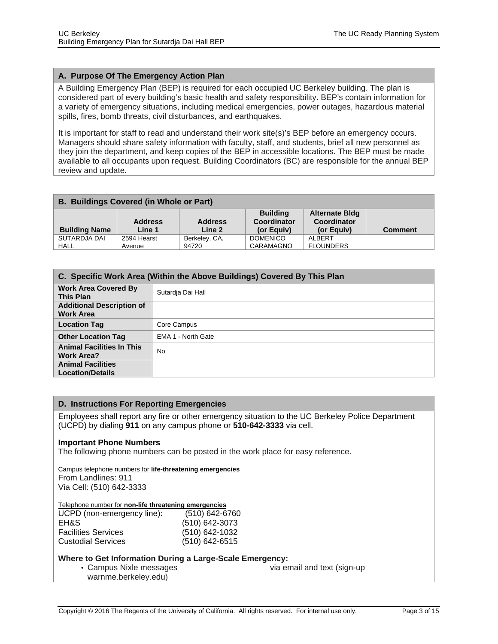#### <span id="page-2-0"></span>**A. Purpose Of The Emergency Action Plan**

A Building Emergency Plan (BEP) is required for each occupied UC Berkeley building. The plan is considered part of every building's basic health and safety responsibility. BEP's contain information for a variety of emergency situations, including medical emergencies, power outages, hazardous material spills, fires, bomb threats, civil disturbances, and earthquakes.

It is important for staff to read and understand their work site(s)'s BEP before an emergency occurs. Managers should share safety information with faculty, staff, and students, brief all new personnel as they join the department, and keep copies of the BEP in accessible locations. The BEP must be made available to all occupants upon request. Building Coordinators (BC) are responsible for the annual BEP review and update.

<span id="page-2-1"></span>

| <b>Building Name</b> | <b>Address</b><br>Line 1 | <b>Address</b><br>Line 2 | <b>Building</b><br>Coordinator<br>(or Equiv) | <b>Alternate Bidg</b><br>Coordinator<br>(or Equiv) | <b>Comment</b> |
|----------------------|--------------------------|--------------------------|----------------------------------------------|----------------------------------------------------|----------------|
| SUTARDJA DAI         | 2594 Hearst              | Berkeley, CA,            | <b>DOMENICO</b>                              | ALBERT                                             |                |
| <b>HALL</b>          | Avenue                   | 94720                    | CARAMAGNO                                    | <b>FLOUNDERS</b>                                   |                |

<span id="page-2-2"></span>

| C. Specific Work Area (Within the Above Buildings) Covered By This Plan |                    |  |  |
|-------------------------------------------------------------------------|--------------------|--|--|
| <b>Work Area Covered By</b><br><b>This Plan</b>                         | Sutardja Dai Hall  |  |  |
| <b>Additional Description of</b><br><b>Work Area</b>                    |                    |  |  |
| <b>Location Tag</b>                                                     | Core Campus        |  |  |
| <b>Other Location Tag</b>                                               | EMA 1 - North Gate |  |  |
| <b>Animal Facilities In This</b><br><b>Work Area?</b>                   | <b>No</b>          |  |  |
| <b>Animal Facilities</b><br><b>Location/Details</b>                     |                    |  |  |

#### **D. Instructions For Reporting Emergencies**

Employees shall report any fire or other emergency situation to the UC Berkeley Police Department (UCPD) by dialing **911** on any campus phone or **510-642-3333** via cell.

#### **Important Phone Numbers**

The following phone numbers can be posted in the work place for easy reference.

Campus telephone numbers for **life-threatening emergencies** From Landlines: 911 Via Cell: (510) 642-3333

#### Telephone number for **non-life threatening emergencies**

| UCPD (non-emergency line): | (510) 642-6760   |
|----------------------------|------------------|
| EH&S.                      | (510) 642-3073   |
| <b>Facilities Services</b> | (510) 642-1032   |
| <b>Custodial Services</b>  | $(510)$ 642-6515 |

#### **Where to Get Information During a Large-Scale Emergency:**

• Campus Nixle messages via email and text (sign-up

warnme.berkeley.edu)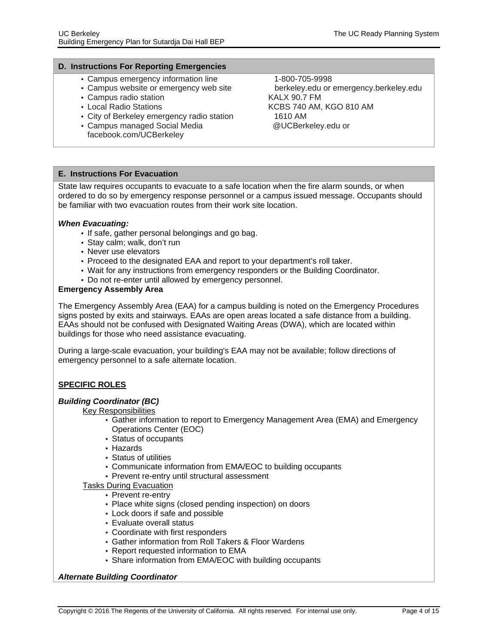#### <span id="page-3-0"></span>**D. Instructions For Reporting Emergencies**

- Campus emergency information line 1-800-705-9998
- Campus website or emergency web site berkeley.edu or emergency.berkeley.edu
- Campus radio station KALX 90.7 FM
- 
- City of Berkeley emergency radio station 1610 AM
- Campus managed Social Media **@UCBerkeley.edu or** facebook.com/UCBerkeley

# • Local Radio Stations **KCBS 740 AM, KGO 810 AM**

#### **E. Instructions For Evacuation**

State law requires occupants to evacuate to a safe location when the fire alarm sounds, or when ordered to do so by emergency response personnel or a campus issued message. Occupants should be familiar with two evacuation routes from their work site location.

#### **When Evacuating:**

- If safe, gather personal belongings and go bag.
- Stay calm; walk, don't run
- Never use elevators
- Proceed to the designated EAA and report to your department's roll taker.
- Wait for any instructions from emergency responders or the Building Coordinator.
- Do not re-enter until allowed by emergency personnel.

#### **Emergency Assembly Area**

The Emergency Assembly Area (EAA) for a campus building is noted on the Emergency Procedures signs posted by exits and stairways. EAAs are open areas located a safe distance from a building. EAAs should not be confused with Designated Waiting Areas (DWA), which are located within buildings for those who need assistance evacuating.

During a large-scale evacuation, your building's EAA may not be available; follow directions of emergency personnel to a safe alternate location.

#### **SPECIFIC ROLES**

#### **Building Coordinator (BC)**

Key Responsibilities

- Gather information to report to Emergency Management Area (EMA) and Emergency Operations Center (EOC)
- Status of occupants
- Hazards
- Status of utilities
- Communicate information from EMA/EOC to building occupants
- Prevent re-entry until structural assessment

#### Tasks During Evacuation

- Prevent re-entry
- Place white signs (closed pending inspection) on doors
- Lock doors if safe and possible
- Evaluate overall status
- Coordinate with first responders
- Gather information from Roll Takers & Floor Wardens
- Report requested information to EMA
- Share information from EMA/EOC with building occupants

#### **Alternate Building Coordinator**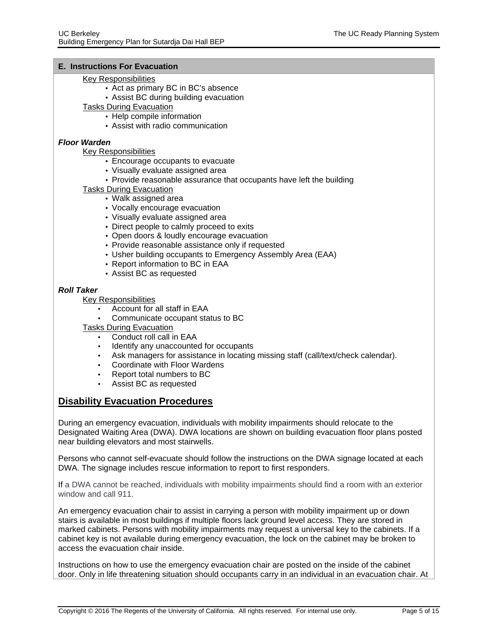#### **E. Instructions For Evacuation**

#### Key Responsibilities

- Act as primary BC in BC's absence
- Assist BC during building evacuation

Tasks During Evacuation

- Help compile information
- Assist with radio communication

#### **Floor Warden**

Key Responsibilities

- Encourage occupants to evacuate
- Visually evaluate assigned area
- Provide reasonable assurance that occupants have left the building
- Tasks During Evacuation
	- Walk assigned area
	- Vocally encourage evacuation
	- Visually evaluate assigned area
	- Direct people to calmly proceed to exits
	- Open doors & loudly encourage evacuation
	- Provide reasonable assistance only if requested
	- Usher building occupants to Emergency Assembly Area (EAA)
	- Report information to BC in EAA
	- Assist BC as requested

#### **Roll Taker**

#### Key Responsibilities

- Account for all staff in EAA
- Communicate occupant status to BC

Tasks During Evacuation

- Conduct roll call in EAA
- Identify any unaccounted for occupants
- Ask managers for assistance in locating missing staff (call/text/check calendar).
- Coordinate with Floor Wardens
- Report total numbers to BC
- Assist BC as requested

#### **Disability Evacuation Procedures**

During an emergency evacuation, individuals with mobility impairments should relocate to the Designated Waiting Area (DWA). DWA locations are shown on building evacuation floor plans posted near building elevators and most stairwells.

Persons who cannot self-evacuate should follow the instructions on the DWA signage located at each DWA. The signage includes rescue information to report to first responders.

If a DWA cannot be reached, individuals with mobility impairments should find a room with an exterior window and call 911.

An emergency evacuation chair to assist in carrying a person with mobility impairment up or down stairs is available in most buildings if multiple floors lack ground level access. They are stored in marked cabinets. Persons with mobility impairments may request a universal key to the cabinets. If a cabinet key is not available during emergency evacuation, the lock on the cabinet may be broken to access the evacuation chair inside.

Instructions on how to use the emergency evacuation chair are posted on the inside of the cabinet door. Only in life threatening situation should occupants carry in an individual in an evacuation chair. At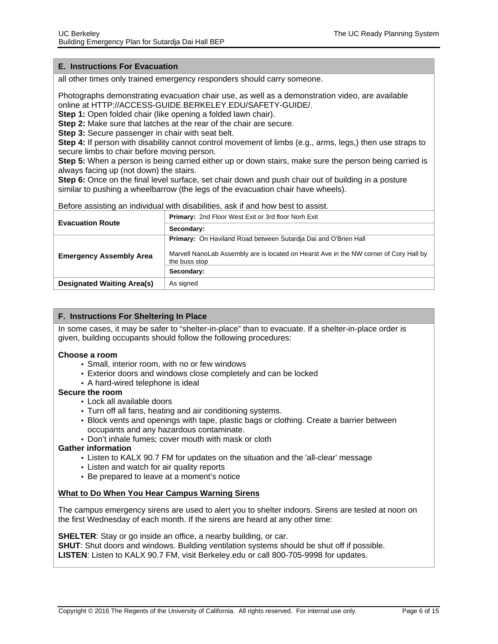#### <span id="page-5-0"></span>**E. Instructions For Evacuation**

all other times only trained emergency responders should carry someone.

Photographs demonstrating evacuation chair use, as well as a demonstration video, are available online at HTTP://ACCESS-GUIDE.BERKELEY.EDU/SAFETY-GUIDE/.

**Step 1:** Open folded chair (like opening a folded lawn chair).

**Step 2:** Make sure that latches at the rear of the chair are secure.

**Step 3:** Secure passenger in chair with seat belt.

**Step 4:** If person with disability cannot control movement of limbs (e.g., arms, legs,) then use straps to secure limbs to chair before moving person.

**Step 5:** When a person is being carried either up or down stairs, make sure the person being carried is always facing up (not down) the stairs.

**Step 6:** Once on the final level surface, set chair down and push chair out of building in a posture similar to pushing a wheelbarrow (the legs of the evacuation chair have wheels).

Before assisting an individual with disabilities, ask if and how best to assist.

| <b>Evacuation Route</b>           | <b>Primary: 2nd Floor West Exit or 3rd floor Norh Exit</b>                                              |
|-----------------------------------|---------------------------------------------------------------------------------------------------------|
|                                   | Secondary:                                                                                              |
|                                   | <b>Primary:</b> On Haviland Road between Sutardia Dai and O'Brien Hall                                  |
| <b>Emergency Assembly Area</b>    | Marvell NanoLab Assembly are is located on Hearst Ave in the NW corner of Cory Hall by<br>the buss stop |
|                                   | Secondary:                                                                                              |
| <b>Designated Waiting Area(s)</b> | As signed                                                                                               |

#### <span id="page-5-1"></span>**F. Instructions For Sheltering In Place**

In some cases, it may be safer to "shelter-in-place" than to evacuate. If a shelter-in-place order is given, building occupants should follow the following procedures:

#### **Choose a room**

- Small, interior room, with no or few windows
- Exterior doors and windows close completely and can be locked
- A hard-wired telephone is ideal

#### **Secure the room**

- Lock all available doors
- Turn off all fans, heating and air conditioning systems.
- Block vents and openings with tape, plastic bags or clothing. Create a barrier between occupants and any hazardous contaminate.
- Don't inhale fumes; cover mouth with mask or cloth

#### **Gather information**

- Listen to KALX 90.7 FM for updates on the situation and the 'all-clear' message
- Listen and watch for air quality reports
- Be prepared to leave at a moment's notice

#### **What to Do When You Hear Campus Warning Sirens**

The campus emergency sirens are used to alert you to shelter indoors. Sirens are tested at noon on the first Wednesday of each month. If the sirens are heard at any other time:

**SHELTER:** Stay or go inside an office, a nearby building, or car.

**SHUT**: Shut doors and windows. Building ventilation systems should be shut off if possible. **LISTEN**: Listen to KALX 90.7 FM, visit Berkeley.edu or call 800-705-9998 for updates.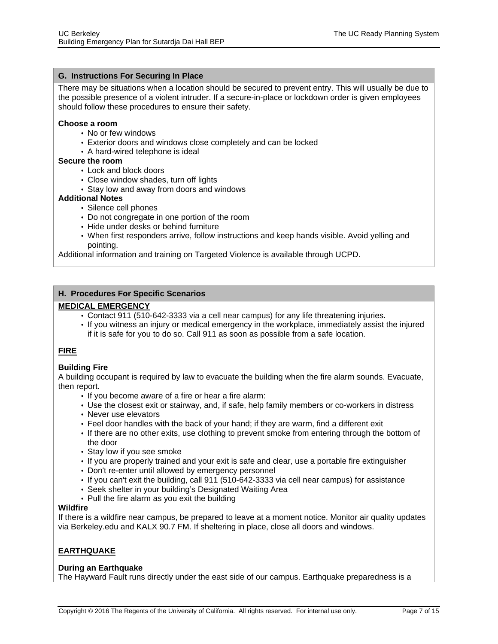#### <span id="page-6-0"></span>**G. Instructions For Securing In Place**

There may be situations when a location should be secured to prevent entry. This will usually be due to the possible presence of a violent intruder. If a secure-in-place or lockdown order is given employees should follow these procedures to ensure their safety.

#### **Choose a room**

- No or few windows
- Exterior doors and windows close completely and can be locked
- A hard-wired telephone is ideal

#### **Secure the room**

- Lock and block doors
- Close window shades, turn off lights
- Stay low and away from doors and windows

#### **Additional Notes**

- Silence cell phones
- Do not congregate in one portion of the room
- Hide under desks or behind furniture
- When first responders arrive, follow instructions and keep hands visible. Avoid yelling and pointing.

Additional information and training on Targeted Violence is available through UCPD.

#### **H. Procedures For Specific Scenarios**

#### **MEDICAL EMERGENCY**

- Contact 911 (510-642-3333 via a cell near campus) for any life threatening injuries.
- If you witness an injury or medical emergency in the workplace, immediately assist the injured if it is safe for you to do so. Call 911 as soon as possible from a safe location.

#### **FIRE**

#### **Building Fire**

A building occupant is required by law to evacuate the building when the fire alarm sounds. Evacuate, then report.

- If you become aware of a fire or hear a fire alarm:
- Use the closest exit or stairway, and, if safe, help family members or [co-workers](http://access-guide.berkeley.edu/getting-there/buildings) in distress
- Never use elevators
- Feel door handles with the back of your hand; if they are warm, find a different exit
- If there are no other exits, use clothing to prevent smoke from entering through the bottom of the door
- Stay low if you see smoke
- If you are properly trained and your exit is safe and clear, use a portable fire extinguisher
- Don't re-enter until allowed by emergency personnel
- If you can't exit the building, call 911 (510-642-3333 via cell near campus) for assistance
- Seek shelter in your building's [Designated](http://access-guide.berkeley.edu/designated-waiting-areas) Waiting Area
- Pull the fire alarm as you exit the building

#### **Wildfire**

If there is a wildfire near campus, be prepared to leave at a moment notice. Monitor air quality updates via Berkeley.edu and KALX 90.7 FM. If sheltering in place, close all doors and windows.

#### **EARTHQUAKE**

#### **During an Earthquake**

The Hayward Fault runs directly under the east side of our campus. Earthquake preparedness is a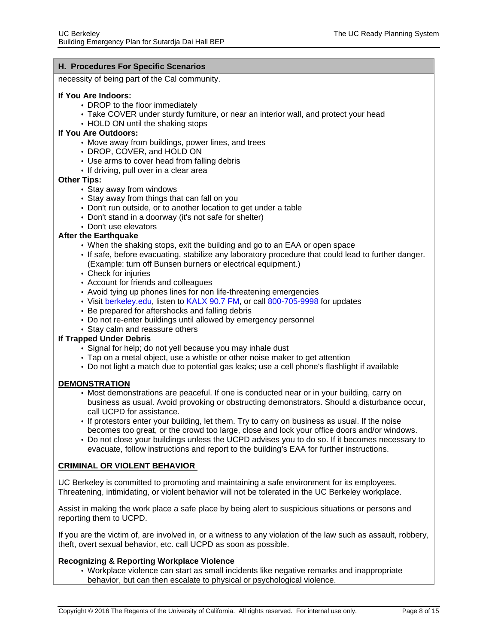necessity of being part of the Cal community.

#### **If You Are Indoors:**

- DROP to the floor immediately
- Take COVER under sturdy furniture, or near an interior wall, and protect your head
- HOLD ON until the shaking stops

#### **If You Are Outdoors:**

- Move away from buildings, power lines, and trees
- DROP, COVER, and HOLD ON
- Use arms to cover head from falling debris
- If driving, pull over in a clear area

#### **Other Tips:**

- Stay away from windows
- Stay away from things that can fall on you
- Don't run outside, or to another location to get under a table
- Don't stand in a doorway (it's not safe for shelter)
- Don't use elevators

#### **After the Earthquake**

- When the shaking stops, exit the building and go to an EAA or open space
- If safe, before evacuating, stabilize any laboratory procedure that could lead to further danger. (Example: turn off Bunsen burners or electrical equipment.)
- Check for injuries
- Account for friends and colleagues
- Avoid tying up phones lines for non life-threatening emergencies
- Visit berkeley.edu, listen to KALX 90.7 FM, or call 800-705-9998 for updates
- Be prepared for aftershocks and falling debris
- Do not re-enter buildings until allowed by emergency personnel
- Stay calm and reassure others

#### **If Trapped Under Debris**

- Signal for help; do not yell because you may inhale dust
- Tap on a metal object, use a whistle or other noise maker to get attention
- Do not light a match due to potential gas leaks; use a cell phone's flashlight if available

#### **DEMONSTRATION**

- Most demonstrations are peaceful. If one is conducted near or in your building, carry on business as usual. Avoid provoking or obstructing demonstrators. Should a disturbance occur, call UCPD for assistance.
- If protestors enter your building, let them. Try to carry on business as usual. If the noise becomes too great, or the crowd too large, close and lock your office doors and/or windows.
- Do not close your buildings unless the UCPD advises you to do so. If it becomes necessary to evacuate, follow instructions and report to the building's EAA for further instructions.

#### **CRIMINAL OR VIOLENT BEHAVIOR**

UC Berkeley is committed to promoting and maintaining a safe environment for its employees. Threatening, intimidating, or violent behavior will not be tolerated in the UC Berkeley workplace.

Assist in making the work place a safe place by being alert to suspicious situations or persons and reporting them to UCPD.

If you are the victim of, are involved in, or a witness to any violation of the law such as assault, robbery, theft, overt sexual behavior, etc. call UCPD as soon as possible.

#### **Recognizing & Reporting Workplace Violence**

• Workplace violence can start as small incidents like negative remarks and inappropriate behavior, but can then escalate to physical or psychological violence.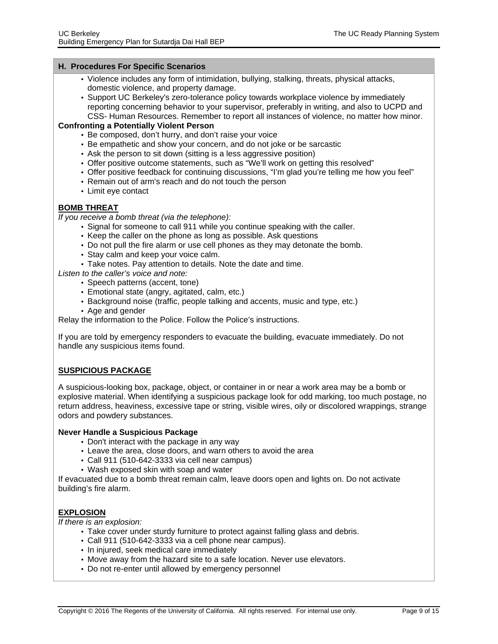- Violence includes any form of intimidation, bullying, stalking, threats, physical attacks, domestic violence, and property damage.
- Support UC Berkeley's zero-tolerance policy towards workplace violence by immediately reporting concerning behavior to your supervisor, preferably in writing, and also to UCPD and CSS- Human Resources. Remember to report all instances of violence, no matter how minor.

#### **Confronting a Potentially Violent Person**

- Be composed, don't hurry, and don't raise your voice
- Be empathetic and show your concern, and do not joke or be sarcastic
- Ask the person to sit down (sitting is a less aggressive position)
- Offer positive outcome statements, such as "We'll work on getting this resolved"
- Offer positive feedback for continuing discussions, "I'm glad you're telling me how you feel"
- Remain out of arm's reach and do not touch the person
- Limit eye contact

#### **BOMB THREAT**

If you receive a bomb threat (via the telephone):

- Signal for someone to call 911 while you continue speaking with the caller.
- Keep the caller on the phone as long as possible. Ask questions
- Do not pull the fire alarm or use cell phones as they may detonate the bomb.
- Stay calm and keep your voice calm.
- Take notes. Pay attention to details. Note the date and time.
- Listen to the caller's voice and note:
	- Speech patterns (accent, tone)
		- Emotional state (angry, agitated, calm, etc.)
		- Background noise (traffic, people talking and accents, music and type, etc.)
	- Age and gender

Relay the information to the Police. Follow the Police's instructions.

If you are told by emergency responders to evacuate the building, evacuate immediately. Do not handle any suspicious items found.

#### **SUSPICIOUS PACKAGE**

A suspicious-looking box, package, object, or container in or near a work area may be a bomb or explosive material. When identifying a suspicious package look for odd marking, too much postage, no return address, heaviness, excessive tape or string, visible wires, oily or discolored wrappings, strange odors and powdery substances.

#### **Never Handle a Suspicious Package**

- Don't interact with the package in any way
- Leave the area, close doors, and warn others to avoid the area
- Call 911 (510-642-3333 via cell near campus)
- Wash exposed skin with soap and water

If evacuated due to a bomb threat remain calm, leave doors open and lights on. Do not activate building's fire alarm.

#### **EXPLOSION**

If there is an explosion:

- Take cover under sturdy furniture to protect against falling glass and debris.
- Call 911 (510-642-3333 via a cell phone near campus).
- In injured, seek medical care immediately
- Move away from the hazard site to a safe location. Never use elevators.
- Do not re-enter until allowed by emergency personnel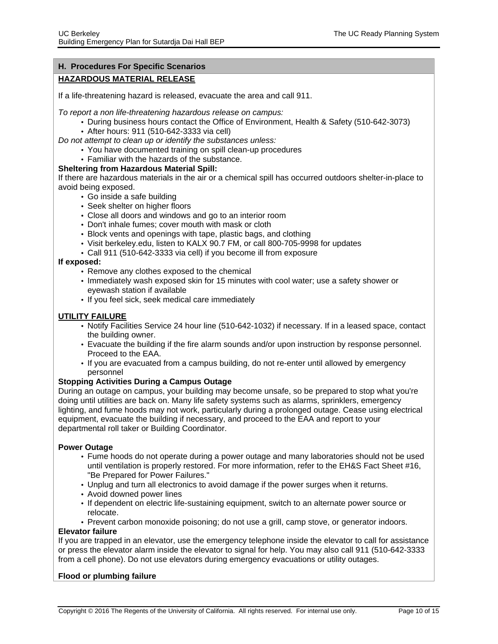#### **HAZARDOUS MATERIAL RELEASE**

If a life-threatening hazard is released, evacuate the area and call 911.

To report a non life-threatening hazardous release on campus:

- During business hours contact the Office of Environment, Health & Safety (510-642-3073)
- After hours: 911 (510-642-3333 via cell)

Do not attempt to clean up or identify the substances unless:

- You have documented training on spill clean-up procedures
- Familiar with the hazards of the substance.

#### **Sheltering from Hazardous Material Spill:**

If there are hazardous materials in the air or a chemical spill has occurred outdoors shelter-in-place to avoid being exposed.

- Go inside a safe building
- Seek shelter on higher floors
- Close all doors and windows and go to an interior room
- Don't inhale fumes; cover mouth with mask or cloth
- Block vents and openings with tape, plastic bags, and clothing
- Visit berkeley.edu, listen to KALX 90.7 FM, or call 800-705-9998 for updates
- Call 911 (510-642-3333 via cell) if you become ill from exposure

**If exposed:**

- Remove any clothes exposed to the chemical
- Immediately wash exposed skin for 15 minutes with cool water; use a safety shower or eyewash station if available
- If you feel sick, seek medical care immediately

#### **UTILITY FAILURE**

- Notify Facilities Service 24 hour line (510-642-1032) if necessary. If in a leased space, contact the building owner.
- Evacuate the building if the fire alarm sounds and/or upon instruction by response personnel. Proceed to the EAA.
- If you are evacuated from a campus building, do not re-enter until allowed by emergency personnel

#### **Stopping Activities During a Campus Outage**

During an outage on campus, your building may become unsafe, so be prepared to stop what you're doing until utilities are back on. Many life safety systems such as alarms, sprinklers, emergency lighting, and fume hoods may not work, particularly during a prolonged outage. Cease using electrical equipment, evacuate the building if necessary, and proceed to the EAA and report to your departmental roll taker or Building Coordinator.

#### **Power Outage**

- Fume hoods do not operate during a power outage and many laboratories should not be used until ventilation is properly restored. For more information, refer to the EH&S Fact Sheet #16, "Be Prepared for Power Failures."
- Unplug and turn all electronics to avoid damage if the power surges when it returns.
- Avoid downed power lines
- If dependent on electric life-sustaining equipment, switch to an alternate power source or relocate.
- Prevent carbon monoxide poisoning; do not use a grill, camp stove, or generator indoors.

#### **Elevator failure**

If you are trapped in an elevator, use the emergency telephone inside the elevator to call for assistance or press the elevator alarm inside the elevator to signal for help. You may also call 911 (510-642-3333 from a cell phone). Do not use elevators during emergency evacuations or utility outages.

#### **Flood or plumbing failure**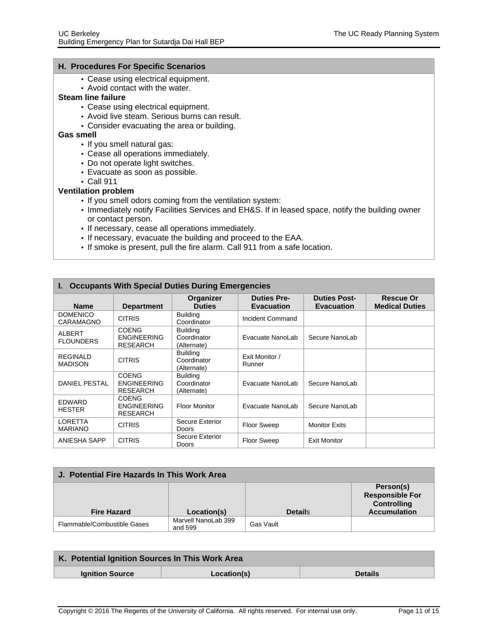- <span id="page-10-0"></span>• Cease using electrical equipment.
- Avoid contact with the water.

#### **Steam line failure**

- Cease using electrical equipment.
- Avoid live steam. Serious burns can result.
- Consider evacuating the area or building.

#### **Gas smell**

- If you smell natural gas:
- Cease all operations immediately.
- Do not operate light switches.
- Evacuate as soon as possible.
- Call 911

#### **Ventilation problem**

- If you smell odors coming from the ventilation system:
- Immediately notify Facilities Services and EH&S. If in leased space, notify the building owner or contact person.
- If necessary, cease all operations immediately.
- If necessary, evacuate the building and proceed to the EAA.
- If smoke is present, pull the fire alarm. Call 911 from a safe location.

<span id="page-10-1"></span>

| <b>Occupants With Special Duties During Emergencies</b><br>ь. |                                                       |                                               |                                         |                                          |                                    |
|---------------------------------------------------------------|-------------------------------------------------------|-----------------------------------------------|-----------------------------------------|------------------------------------------|------------------------------------|
| <b>Name</b>                                                   | <b>Department</b>                                     | Organizer<br><b>Duties</b>                    | <b>Duties Pre-</b><br><b>Evacuation</b> | <b>Duties Post-</b><br><b>Evacuation</b> | Rescue Or<br><b>Medical Duties</b> |
| <b>DOMENICO</b><br>CARAMAGNO                                  | <b>CITRIS</b>                                         | <b>Building</b><br>Coordinator                | Incident Command                        |                                          |                                    |
| ALBERT<br><b>FLOUNDERS</b>                                    | <b>COENG</b><br><b>ENGINEERING</b><br><b>RESEARCH</b> | <b>Building</b><br>Coordinator<br>(Alternate) | Evacuate NanoLab                        | Secure NanoLab                           |                                    |
| REGINALD<br><b>MADISON</b>                                    | <b>CITRIS</b>                                         | <b>Building</b><br>Coordinator<br>(Alternate) | Exit Monitor /<br>Runner                |                                          |                                    |
| <b>DANIEL PESTAL</b>                                          | <b>COENG</b><br><b>ENGINEERING</b><br><b>RESEARCH</b> | Building<br>Coordinator<br>(Alternate)        | Evacuate NanoLab                        | Secure NanoLab                           |                                    |
| EDWARD<br><b>HESTER</b>                                       | <b>COENG</b><br><b>ENGINEERING</b><br><b>RESEARCH</b> | <b>Floor Monitor</b>                          | Evacuate NanoLab                        | Secure NanoLab                           |                                    |
| <b>LORETTA</b><br><b>MARIANO</b>                              | <b>CITRIS</b>                                         | Secure Exterior<br><b>Doors</b>               | <b>Floor Sweep</b>                      | <b>Monitor Exits</b>                     |                                    |
| ANIESHA SAPP                                                  | <b>CITRIS</b>                                         | Secure Exterior<br><b>Doors</b>               | <b>Floor Sweep</b>                      | <b>Exit Monitor</b>                      |                                    |

<span id="page-10-2"></span>

| J. Potential Fire Hazards In This Work Area |                                |                |                                                                                  |  |  |
|---------------------------------------------|--------------------------------|----------------|----------------------------------------------------------------------------------|--|--|
| <b>Fire Hazard</b>                          | Location(s)                    | <b>Details</b> | Person(s)<br><b>Responsible For</b><br><b>Controlling</b><br><b>Accumulation</b> |  |  |
| Flammable/Combustible Gases                 | Marvell NanoLab 399<br>and 599 | Gas Vault      |                                                                                  |  |  |

<span id="page-10-3"></span>

| K. Potential Ignition Sources In This Work Area |             |                |  |  |
|-------------------------------------------------|-------------|----------------|--|--|
| <b>Ignition Source</b>                          | Location(s) | <b>Details</b> |  |  |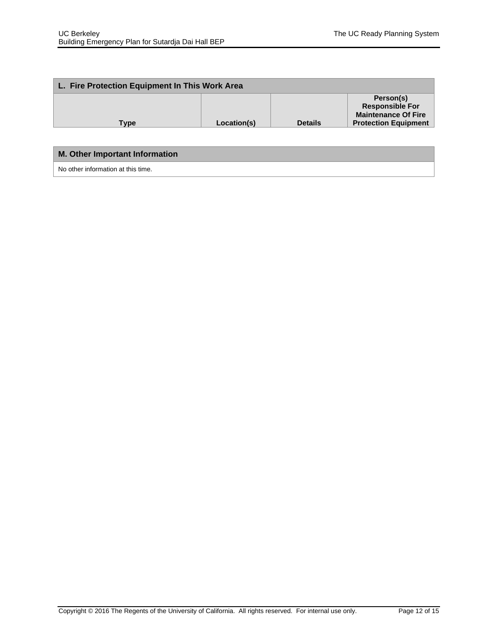<span id="page-11-0"></span>

| L. Fire Protection Equipment In This Work Area |             |                |                                                                                                  |  |
|------------------------------------------------|-------------|----------------|--------------------------------------------------------------------------------------------------|--|
| Type                                           | Location(s) | <b>Details</b> | Person(s)<br><b>Responsible For</b><br><b>Maintenance Of Fire</b><br><b>Protection Equipment</b> |  |
|                                                |             |                |                                                                                                  |  |
| <b>M. Other Important Information</b>          |             |                |                                                                                                  |  |

<span id="page-11-1"></span>No other information at this time.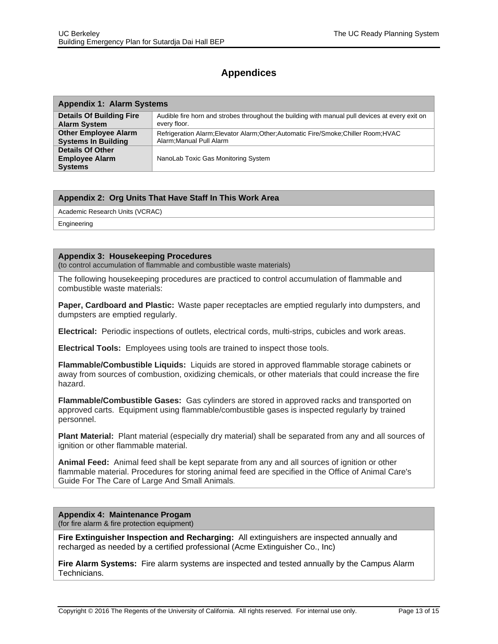## <span id="page-12-0"></span>**Appendices**

<span id="page-12-1"></span>

| <b>Appendix 1: Alarm Systems</b>                                   |                                                                                                 |  |
|--------------------------------------------------------------------|-------------------------------------------------------------------------------------------------|--|
| <b>Details Of Building Fire</b>                                    | Audible fire horn and strobes throughout the building with manual pull devices at every exit on |  |
| <b>Alarm System</b>                                                | every floor.                                                                                    |  |
| <b>Other Employee Alarm</b>                                        | Refrigeration Alarm; Elevator Alarm; Other; Automatic Fire/Smoke; Chiller Room; HVAC            |  |
| <b>Systems In Building</b>                                         | Alarm; Manual Pull Alarm                                                                        |  |
| <b>Details Of Other</b><br><b>Employee Alarm</b><br><b>Systems</b> | NanoLab Toxic Gas Monitoring System                                                             |  |

#### <span id="page-12-2"></span>**Appendix 2: Org Units That Have Staff In This Work Area**

Academic Research Units (VCRAC)

Engineering

#### <span id="page-12-3"></span>**Appendix 3: Housekeeping Procedures**

(to control accumulation of flammable and combustible waste materials)

The following housekeeping procedures are practiced to control accumulation of flammable and combustible waste materials:

**Paper, Cardboard and Plastic:** Waste paper receptacles are emptied regularly into dumpsters, and dumpsters are emptied regularly.

**Electrical:** Periodic inspections of outlets, electrical cords, multi-strips, cubicles and work areas.

**Electrical Tools:** Employees using tools are trained to inspect those tools.

**Flammable/Combustible Liquids:** Liquids are stored in approved flammable storage cabinets or away from sources of combustion, oxidizing chemicals, or other materials that could increase the fire hazard.

**Flammable/Combustible Gases:** Gas cylinders are stored in approved racks and transported on approved carts. Equipment using flammable/combustible gases is inspected regularly by trained personnel.

**Plant Material:** Plant material (especially dry material) shall be separated from any and all sources of ignition or other flammable material.

**Animal Feed:** Animal feed shall be kept separate from any and all sources of ignition or other flammable material. Procedures for storing animal feed are specified in the Office of Animal Care's Guide For The Care of Large And Small Animals.

#### **Appendix 4: Maintenance Progam**

(for fire alarm & fire protection equipment)

**Fire Extinguisher Inspection and Recharging:** All extinguishers are inspected annually and recharged as needed by a certified professional (Acme Extinguisher Co., Inc)

**Fire Alarm Systems:** Fire alarm systems are inspected and tested annually by the Campus Alarm Technicians.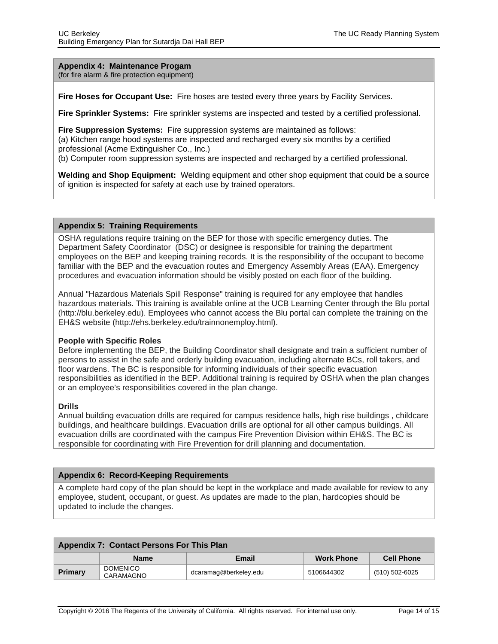<span id="page-13-0"></span>**Appendix 4: Maintenance Progam** (for fire alarm & fire protection equipment)

**Fire Hoses for Occupant Use:** Fire hoses are tested every three years by Facility Services.

**Fire Sprinkler Systems:** Fire sprinkler systems are inspected and tested by a certified professional.

**Fire Suppression Systems:** Fire suppression systems are maintained as follows: (a) Kitchen range hood systems are inspected and recharged every six months by a certified professional (Acme Extinguisher Co., Inc.) (b) Computer room suppression systems are inspected and recharged by a certified professional.

**Welding and Shop Equipment:** Welding equipment and other shop equipment that could be a source of ignition is inspected for safety at each use by trained operators.

#### <span id="page-13-1"></span>**Appendix 5: Training Requirements**

OSHA regulations require training on the BEP for those with specific emergency duties. The Department Safety Coordinator (DSC) or designee is responsible for training the department employees on the BEP and keeping training records. It is the responsibility of the occupant to become familiar with the BEP and the evacuation routes and Emergency Assembly Areas (EAA). Emergency procedures and evacuation information should be visibly posted on each floor of the building.

Annual "Hazardous Materials Spill Response" training is required for any employee that handles hazardous materials. This training is available online at the UCB Learning Center through the Blu portal ([http://blu.berkeley.edu](http://blu.berkeley.edu/)). Employees who cannot access the Blu portal can complete the training on the EH&S website ([http://ehs.berkeley.edu/trainnonemploy.html\)](http://ehs.berkeley.edu/trainnonemploy.html).

#### **People with Specific Roles**

Before implementing the BEP, the Building Coordinator shall designate and train a sufficient number of persons to assist in the safe and orderly building evacuation, including alternate BCs, roll takers, and floor wardens. The BC is responsible for informing individuals of their specific evacuation responsibilities as identified in the BEP. Additional training is required by OSHA when the plan changes or an employee's responsibilities covered in the plan change.

#### **Drills**

Annual building evacuation drills are required for campus residence halls, high rise buildings , childcare buildings, and healthcare buildings. Evacuation drills are optional for all other campus buildings. All evacuation drills are coordinated with the campus Fire Prevention Division within EH&S. The BC is responsible for coordinating with Fire Prevention for drill planning and documentation.

#### <span id="page-13-2"></span>**Appendix 6: Record-Keeping Requirements**

A complete hard copy of the plan should be kept in the workplace and made available for review to any employee, student, occupant, or guest. As updates are made to the plan, hardcopies should be updated to include the changes.

| Appendix 7: Contact Persons For This Plan |                              |                       |                   |                   |
|-------------------------------------------|------------------------------|-----------------------|-------------------|-------------------|
|                                           | <b>Name</b>                  | Email                 | <b>Work Phone</b> | <b>Cell Phone</b> |
| <b>Primary</b>                            | <b>DOMENICO</b><br>CARAMAGNO | dcaramag@berkeley.edu | 5106644302        | (510) 502-6025    |